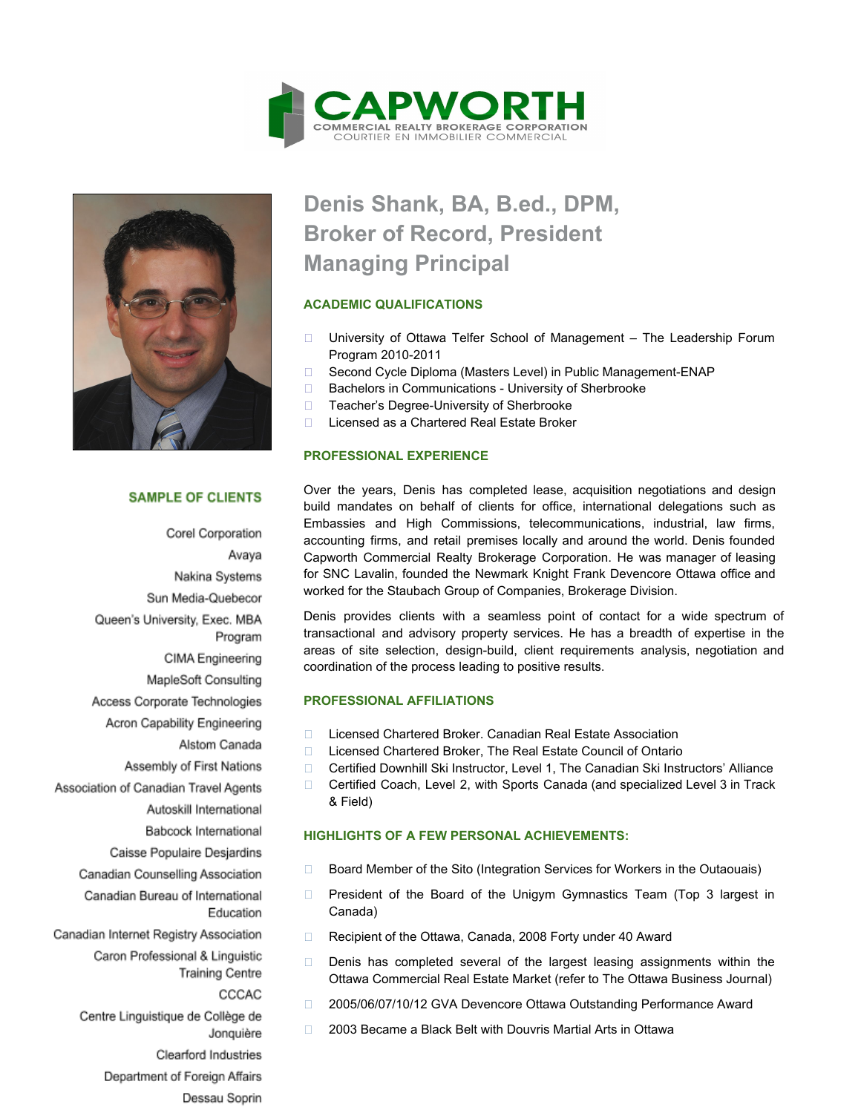



## **SAMPLE OF CLIENTS**

Corel Corporation Avaya Nakina Systems Sun Media-Quebecor Queen's University, Exec. MBA Program CIMA Engineering MapleSoft Consulting Access Corporate Technologies Acron Capability Engineering Alstom Canada Assembly of First Nations Association of Canadian Travel Agents Autoskill International Babcock International Caisse Populaire Desjardins Canadian Counselling Association Canadian Bureau of International Education Canadian Internet Registry Association Caron Professional & Linguistic **Training Centre** CCCAC Centre Linguistique de Collège de Jonquière Clearford Industries Department of Foreign Affairs Dessau Soprin

# **Denis Shank, BA, B.ed., DPM, Broker of Record, President Managing Principal**

## **ACADEMIC QUALIFICATIONS**

- □ University of Ottawa Telfer School of Management The Leadership Forum Program 2010-2011
- □ Second Cycle Diploma (Masters Level) in Public Management-ENAP
- □ Bachelors in Communications University of Sherbrooke
- □ Teacher's Degree-University of Sherbrooke
- □ Licensed as a Chartered Real Estate Broker

# **PROFESSIONAL EXPERIENCE**

Over the years, Denis has completed lease, acquisition negotiations and design build mandates on behalf of clients for office, international delegations such as Embassies and High Commissions, telecommunications, industrial, law firms, accounting firms, and retail premises locally and around the world. Denis founded Capworth Commercial Realty Brokerage Corporation. He was manager of leasing for SNC Lavalin, founded the Newmark Knight Frank Devencore Ottawa office and worked for the Staubach Group of Companies, Brokerage Division.

Denis provides clients with a seamless point of contact for a wide spectrum of transactional and advisory property services. He has a breadth of expertise in the areas of site selection, design-build, client requirements analysis, negotiation and coordination of the process leading to positive results.

#### **PROFESSIONAL AFFILIATIONS**

- □ Licensed Chartered Broker. Canadian Real Estate Association
- □ Licensed Chartered Broker, The Real Estate Council of Ontario
- Certified Downhill Ski Instructor, Level 1, The Canadian Ski Instructors' Alliance
- □ Certified Coach, Level 2, with Sports Canada (and specialized Level 3 in Track & Field)

# **HIGHLIGHTS OF A FEW PERSONAL ACHIEVEMENTS:**

- □ Board Member of the Sito (Integration Services for Workers in the Outaouais)
- $\Box$  President of the Board of the Unigym Gymnastics Team (Top 3 largest in Canada)
- □ Recipient of the Ottawa, Canada, 2008 Forty under 40 Award
- Denis has completed several of the largest leasing assignments within the Ottawa Commercial Real Estate Market (refer to The Ottawa Business Journal)
- □ 2005/06/07/10/12 GVA Devencore Ottawa Outstanding Performance Award
- □ 2003 Became a Black Belt with Douvris Martial Arts in Ottawa